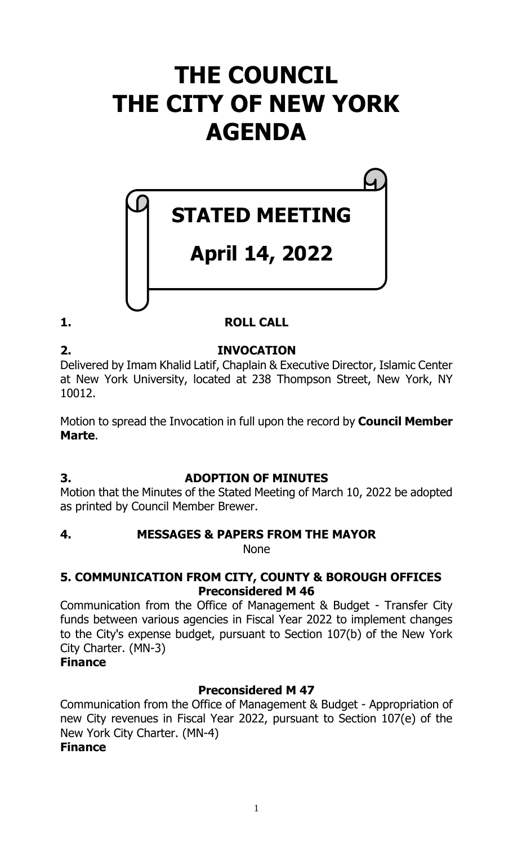# **THE COUNCIL THE CITY OF NEW YORK AGENDA**

# **STATED MEETING**

# **April 14, 2022**

# **1. ROLL CALL**

# **2. INVOCATION**

Delivered by Imam Khalid Latif, Chaplain & Executive Director, Islamic Center at New York University, located at 238 Thompson Street, New York, NY 10012.

Motion to spread the Invocation in full upon the record by **Council Member Marte**.

# **3. ADOPTION OF MINUTES**

Motion that the Minutes of the Stated Meeting of March 10, 2022 be adopted as printed by Council Member Brewer.

**4. MESSAGES & PAPERS FROM THE MAYOR**

None

# **5. COMMUNICATION FROM CITY, COUNTY & BOROUGH OFFICES Preconsidered M 46**

Communication from the Office of Management & Budget - Transfer City funds between various agencies in Fiscal Year 2022 to implement changes to the City's expense budget, pursuant to Section 107(b) of the New York City Charter. (MN-3)

# **Finance**

# **Preconsidered M 47**

Communication from the Office of Management & Budget - Appropriation of new City revenues in Fiscal Year 2022, pursuant to Section 107(e) of the New York City Charter. (MN-4)

# **Finance**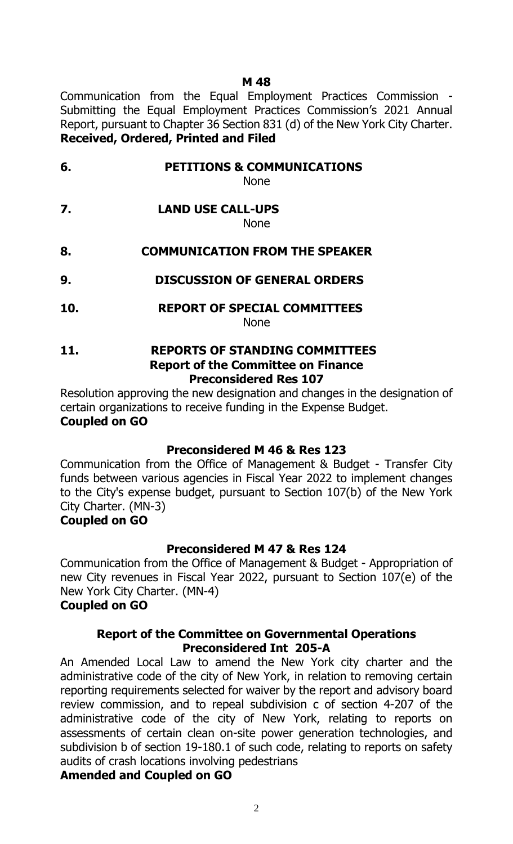#### **M 48**

Communication from the Equal Employment Practices Commission - Submitting the Equal Employment Practices Commission's 2021 Annual Report, pursuant to Chapter 36 Section 831 (d) of the New York City Charter. **Received, Ordered, Printed and Filed**

- **6. PETITIONS & COMMUNICATIONS** None
- **7. LAND USE CALL-UPS**

None

- **8. COMMUNICATION FROM THE SPEAKER**
- **9. DISCUSSION OF GENERAL ORDERS**
- **10. REPORT OF SPECIAL COMMITTEES** None
- **11. REPORTS OF STANDING COMMITTEES Report of the Committee on Finance Preconsidered Res 107**

Resolution approving the new designation and changes in the designation of certain organizations to receive funding in the Expense Budget. **Coupled on GO**

#### **Preconsidered M 46 & Res 123**

Communication from the Office of Management & Budget - Transfer City funds between various agencies in Fiscal Year 2022 to implement changes to the City's expense budget, pursuant to Section 107(b) of the New York City Charter. (MN-3)

#### **Coupled on GO**

#### **Preconsidered M 47 & Res 124**

Communication from the Office of Management & Budget - Appropriation of new City revenues in Fiscal Year 2022, pursuant to Section 107(e) of the New York City Charter. (MN-4)

#### **Coupled on GO**

#### **Report of the Committee on Governmental Operations Preconsidered Int 205-A**

An Amended Local Law to amend the New York city charter and the administrative code of the city of New York, in relation to removing certain reporting requirements selected for waiver by the report and advisory board review commission, and to repeal subdivision c of section 4-207 of the administrative code of the city of New York, relating to reports on assessments of certain clean on-site power generation technologies, and subdivision b of section 19-180.1 of such code, relating to reports on safety audits of crash locations involving pedestrians

### **Amended and Coupled on GO**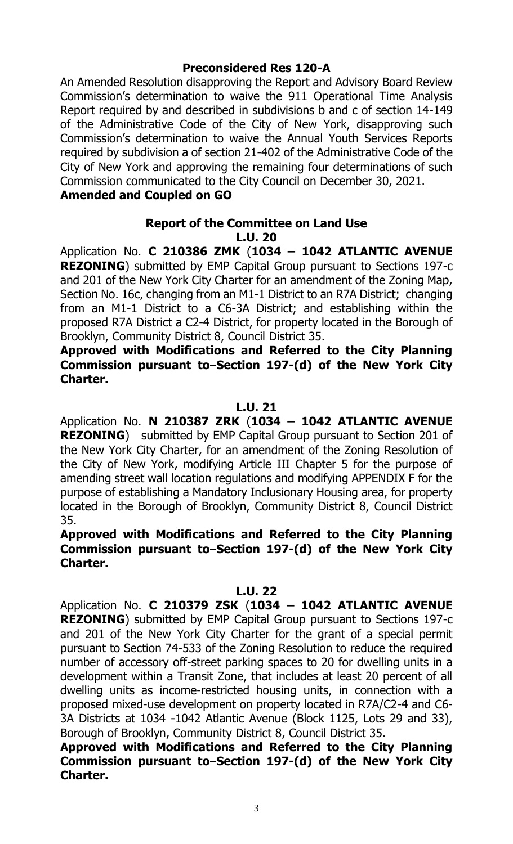#### **Preconsidered Res 120-A**

An Amended Resolution disapproving the Report and Advisory Board Review Commission's determination to waive the 911 Operational Time Analysis Report required by and described in subdivisions b and c of section 14-149 of the Administrative Code of the City of New York, disapproving such Commission's determination to waive the Annual Youth Services Reports required by subdivision a of section 21-402 of the Administrative Code of the City of New York and approving the remaining four determinations of such Commission communicated to the City Council on December 30, 2021. **Amended and Coupled on GO**

#### **Report of the Committee on Land Use L.U. 20**

Application No. **C 210386 ZMK** (**1034 – 1042 ATLANTIC AVENUE REZONING**) submitted by EMP Capital Group pursuant to Sections 197-c and 201 of the New York City Charter for an amendment of the Zoning Map, Section No. 16c, changing from an M1-1 District to an R7A District; changing from an M1-1 District to a C6-3A District; and establishing within the proposed R7A District a C2-4 District, for property located in the Borough of Brooklyn, Community District 8, Council District 35.

**Approved with Modifications and Referred to the City Planning**  Commission pursuant to–Section 197-(d) of the New York City **Charter.**

#### **L.U. 21**

Application No. **N 210387 ZRK** (**1034 – 1042 ATLANTIC AVENUE REZONING**) submitted by EMP Capital Group pursuant to Section 201 of the New York City Charter, for an amendment of the Zoning Resolution of the City of New York, modifying Article III Chapter 5 for the purpose of amending street wall location regulations and modifying APPENDIX F for the purpose of establishing a Mandatory Inclusionary Housing area, for property located in the Borough of Brooklyn, Community District 8, Council District 35.

### **Approved with Modifications and Referred to the City Planning**  Commission pursuant to–Section 197-(d) of the New York City **Charter.**

#### **L.U. 22**

Application No. **C 210379 ZSK** (**1034 – 1042 ATLANTIC AVENUE REZONING**) submitted by EMP Capital Group pursuant to Sections 197-c and 201 of the New York City Charter for the grant of a special permit pursuant to Section 74-533 of the Zoning Resolution to reduce the required number of accessory off-street parking spaces to 20 for dwelling units in a development within a Transit Zone, that includes at least 20 percent of all dwelling units as income-restricted housing units, in connection with a proposed mixed-use development on property located in R7A/C2-4 and C6- 3A Districts at 1034 -1042 Atlantic Avenue (Block 1125, Lots 29 and 33), Borough of Brooklyn, Community District 8, Council District 35.

**Approved with Modifications and Referred to the City Planning Commission pursuant to Section 197-(d) of the New York City Charter.**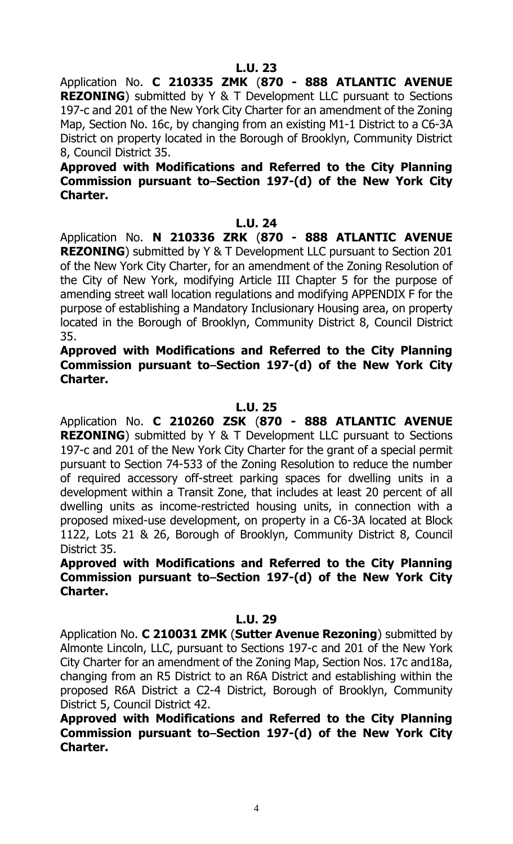Application No. **C 210335 ZMK** (**870 - 888 ATLANTIC AVENUE REZONING**) submitted by Y & T Development LLC pursuant to Sections 197-c and 201 of the New York City Charter for an amendment of the Zoning Map, Section No. 16c, by changing from an existing M1-1 District to a C6-3A District on property located in the Borough of Brooklyn, Community District 8, Council District 35.

#### **Approved with Modifications and Referred to the City Planning Commission pursuant to Section 197-(d) of the New York City Charter.**

#### **L.U. 24**

Application No. **N 210336 ZRK** (**870 - 888 ATLANTIC AVENUE REZONING**) submitted by Y & T Development LLC pursuant to Section 201 of the New York City Charter, for an amendment of the Zoning Resolution of the City of New York, modifying Article III Chapter 5 for the purpose of amending street wall location regulations and modifying APPENDIX F for the purpose of establishing a Mandatory Inclusionary Housing area, on property located in the Borough of Brooklyn, Community District 8, Council District 35.

**Approved with Modifications and Referred to the City Planning**  Commission pursuant to–Section 197-(d) of the New York City **Charter.**

#### **L.U. 25**

Application No. **C 210260 ZSK** (**870 - 888 ATLANTIC AVENUE REZONING**) submitted by Y & T Development LLC pursuant to Sections 197-c and 201 of the New York City Charter for the grant of a special permit pursuant to Section 74-533 of the Zoning Resolution to reduce the number of required accessory off-street parking spaces for dwelling units in a development within a Transit Zone, that includes at least 20 percent of all dwelling units as income-restricted housing units, in connection with a proposed mixed-use development, on property in a C6-3A located at Block 1122, Lots 21 & 26, Borough of Brooklyn, Community District 8, Council District 35.

**Approved with Modifications and Referred to the City Planning Commission pursuant to Section 197-(d) of the New York City Charter.**

#### **L.U. 29**

Application No. **C 210031 ZMK** (**Sutter Avenue Rezoning**) submitted by Almonte Lincoln, LLC, pursuant to Sections 197-c and 201 of the New York City Charter for an amendment of the Zoning Map, Section Nos. 17c and18a, changing from an R5 District to an R6A District and establishing within the proposed R6A District a C2-4 District, Borough of Brooklyn, Community District 5, Council District 42.

**Approved with Modifications and Referred to the City Planning**  Commission pursuant to–Section 197-(d) of the New York City **Charter.**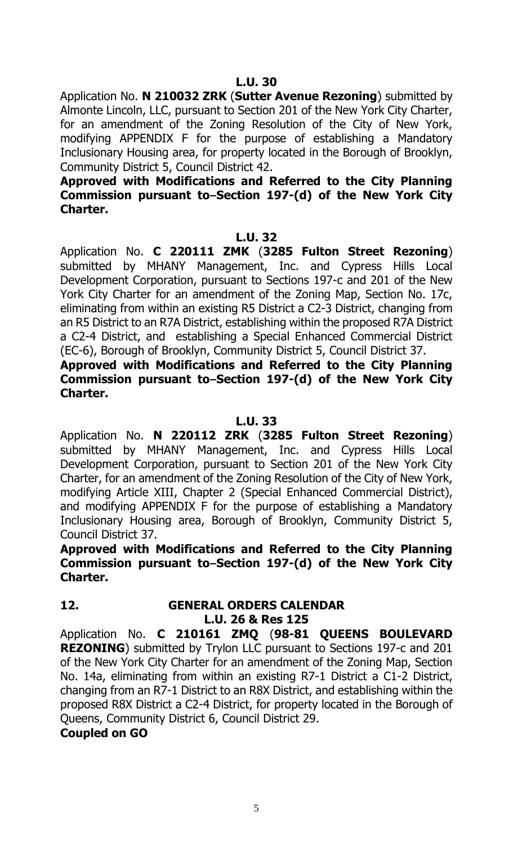Application No. **N 210032 ZRK** (**Sutter Avenue Rezoning**) submitted by Almonte Lincoln, LLC, pursuant to Section 201 of the New York City Charter, for an amendment of the Zoning Resolution of the City of New York, modifying APPENDIX F for the purpose of establishing a Mandatory Inclusionary Housing area, for property located in the Borough of Brooklyn, Community District 5, Council District 42.

#### **Approved with Modifications and Referred to the City Planning Commission pursuant to–Section 197-(d) of the New York City Charter.**

#### **L.U. 32**

Application No. **C 220111 ZMK** (**3285 Fulton Street Rezoning**) submitted by MHANY Management, Inc. and Cypress Hills Local Development Corporation, pursuant to Sections 197-c and 201 of the New York City Charter for an amendment of the Zoning Map, Section No. 17c, eliminating from within an existing R5 District a C2-3 District, changing from an R5 District to an R7A District, establishing within the proposed R7A District a C2-4 District, and establishing a Special Enhanced Commercial District (EC-6), Borough of Brooklyn, Community District 5, Council District 37.

**Approved with Modifications and Referred to the City Planning**  Commission pursuant to–Section 197-(d) of the New York City **Charter.**

#### **L.U. 33**

Application No. **N 220112 ZRK** (**3285 Fulton Street Rezoning**) submitted by MHANY Management, Inc. and Cypress Hills Local Development Corporation, pursuant to Section 201 of the New York City Charter, for an amendment of the Zoning Resolution of the City of New York, modifying Article XIII, Chapter 2 (Special Enhanced Commercial District), and modifying APPENDIX F for the purpose of establishing a Mandatory Inclusionary Housing area, Borough of Brooklyn, Community District 5, Council District 37.

**Approved with Modifications and Referred to the City Planning**  Commission pursuant to-Section 197-(d) of the New York City **Charter.**

## **12. GENERAL ORDERS CALENDAR L.U. 26 & Res 125**

Application No. **C 210161 ZMQ** (**98-81 QUEENS BOULEVARD REZONING**) submitted by Trylon LLC pursuant to Sections 197-c and 201 of the New York City Charter for an amendment of the Zoning Map, Section No. 14a, eliminating from within an existing R7-1 District a C1-2 District, changing from an R7-1 District to an R8X District, and establishing within the proposed R8X District a C2-4 District, for property located in the Borough of Queens, Community District 6, Council District 29.

#### **Coupled on GO**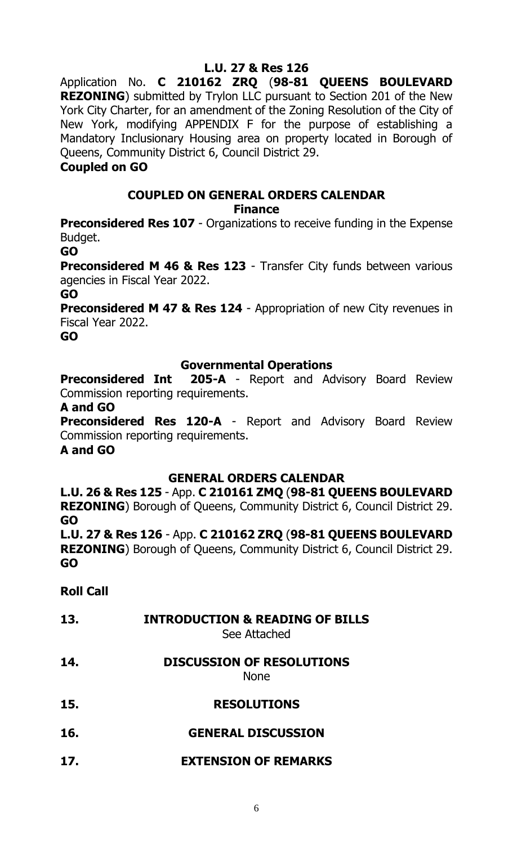# **L.U. 27 & Res 126**

Application No. **C 210162 ZRQ** (**98-81 QUEENS BOULEVARD REZONING**) submitted by Trylon LLC pursuant to Section 201 of the New York City Charter, for an amendment of the Zoning Resolution of the City of New York, modifying APPENDIX F for the purpose of establishing a Mandatory Inclusionary Housing area on property located in Borough of Queens, Community District 6, Council District 29.

#### **Coupled on GO**

# **COUPLED ON GENERAL ORDERS CALENDAR**

**Finance**

**Preconsidered Res 107** - Organizations to receive funding in the Expense Budget.

**GO**

**Preconsidered M 46 & Res 123** - Transfer City funds between various agencies in Fiscal Year 2022.

#### **GO**

**Preconsidered M 47 & Res 124** - Appropriation of new City revenues in Fiscal Year 2022.

**GO**

## **Governmental Operations**

**Preconsidered Int 205-A** - Report and Advisory Board Review Commission reporting requirements.

#### **A and GO**

**Preconsidered Res 120-A** - Report and Advisory Board Review Commission reporting requirements.

# **A and GO**

# **GENERAL ORDERS CALENDAR**

**L.U. 26 & Res 125** - App. **C 210161 ZMQ** (**98-81 QUEENS BOULEVARD REZONING**) Borough of Queens, Community District 6, Council District 29. **GO**

**L.U. 27 & Res 126** - App. **C 210162 ZRQ** (**98-81 QUEENS BOULEVARD REZONING**) Borough of Queens, Community District 6, Council District 29. **GO**

**Roll Call**

# **13. INTRODUCTION & READING OF BILLS**

See Attached

**14. DISCUSSION OF RESOLUTIONS**

None

- **15. RESOLUTIONS**
- **16. GENERAL DISCUSSION**
- **17. EXTENSION OF REMARKS**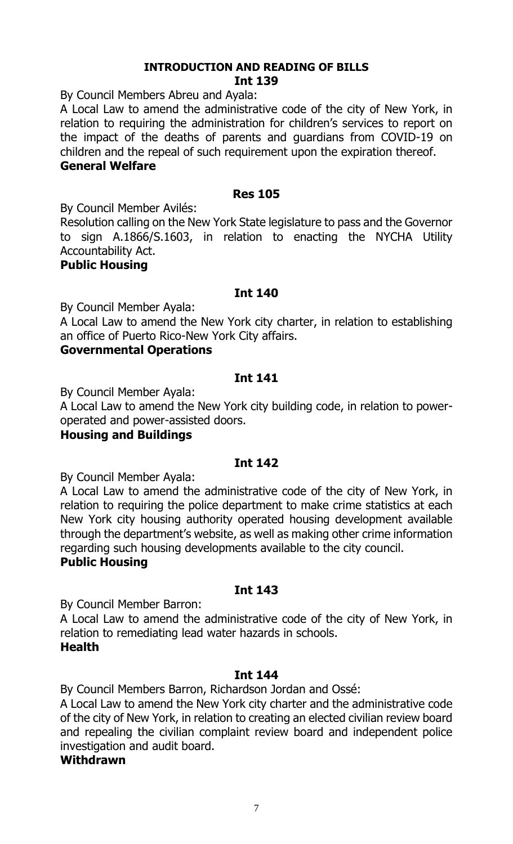#### **INTRODUCTION AND READING OF BILLS Int 139**

By Council Members Abreu and Ayala:

A Local Law to amend the administrative code of the city of New York, in relation to requiring the administration for children's services to report on the impact of the deaths of parents and guardians from COVID-19 on children and the repeal of such requirement upon the expiration thereof.

#### **General Welfare**

#### **Res 105**

By Council Member Avilés:

Resolution calling on the New York State legislature to pass and the Governor to sign A.1866/S.1603, in relation to enacting the NYCHA Utility Accountability Act.

#### **Public Housing**

#### **Int 140**

By Council Member Ayala:

A Local Law to amend the New York city charter, in relation to establishing an office of Puerto Rico-New York City affairs.

#### **Governmental Operations**

#### **Int 141**

By Council Member Ayala:

A Local Law to amend the New York city building code, in relation to poweroperated and power-assisted doors.

#### **Housing and Buildings**

#### **Int 142**

By Council Member Ayala:

A Local Law to amend the administrative code of the city of New York, in relation to requiring the police department to make crime statistics at each New York city housing authority operated housing development available through the department's website, as well as making other crime information regarding such housing developments available to the city council.

#### **Public Housing**

#### **Int 143**

By Council Member Barron:

A Local Law to amend the administrative code of the city of New York, in relation to remediating lead water hazards in schools. **Health**

#### **Int 144**

By Council Members Barron, Richardson Jordan and Ossé:

A Local Law to amend the New York city charter and the administrative code of the city of New York, in relation to creating an elected civilian review board and repealing the civilian complaint review board and independent police investigation and audit board.

#### **Withdrawn**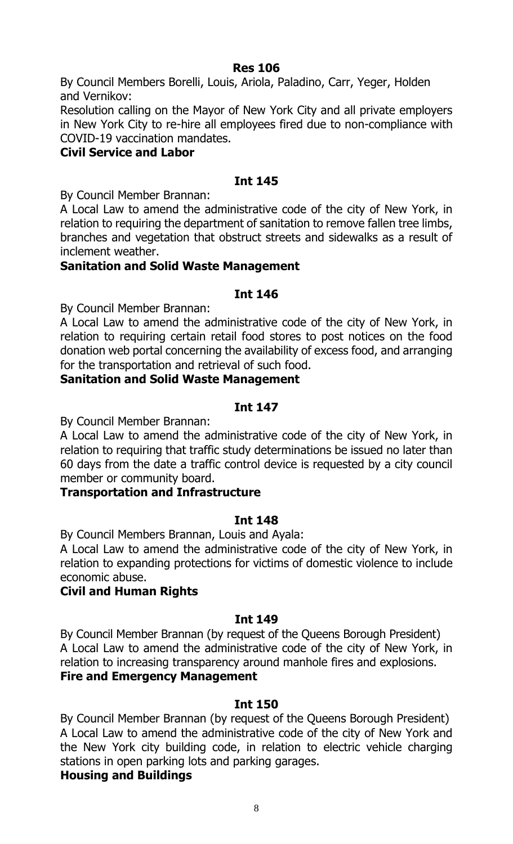#### **Res 106**

By Council Members Borelli, Louis, Ariola, Paladino, Carr, Yeger, Holden and Vernikov:

Resolution calling on the Mayor of New York City and all private employers in New York City to re-hire all employees fired due to non-compliance with COVID-19 vaccination mandates.

#### **Civil Service and Labor**

## **Int 145**

By Council Member Brannan:

A Local Law to amend the administrative code of the city of New York, in relation to requiring the department of sanitation to remove fallen tree limbs, branches and vegetation that obstruct streets and sidewalks as a result of inclement weather.

## **Sanitation and Solid Waste Management**

#### **Int 146**

By Council Member Brannan:

A Local Law to amend the administrative code of the city of New York, in relation to requiring certain retail food stores to post notices on the food donation web portal concerning the availability of excess food, and arranging for the transportation and retrieval of such food.

#### **Sanitation and Solid Waste Management**

## **Int 147**

By Council Member Brannan:

A Local Law to amend the administrative code of the city of New York, in relation to requiring that traffic study determinations be issued no later than 60 days from the date a traffic control device is requested by a city council member or community board.

#### **Transportation and Infrastructure**

#### **Int 148**

By Council Members Brannan, Louis and Ayala:

A Local Law to amend the administrative code of the city of New York, in relation to expanding protections for victims of domestic violence to include economic abuse.

#### **Civil and Human Rights**

#### **Int 149**

By Council Member Brannan (by request of the Queens Borough President) A Local Law to amend the administrative code of the city of New York, in relation to increasing transparency around manhole fires and explosions. **Fire and Emergency Management**

#### **Int 150**

By Council Member Brannan (by request of the Queens Borough President) A Local Law to amend the administrative code of the city of New York and the New York city building code, in relation to electric vehicle charging stations in open parking lots and parking garages. **Housing and Buildings**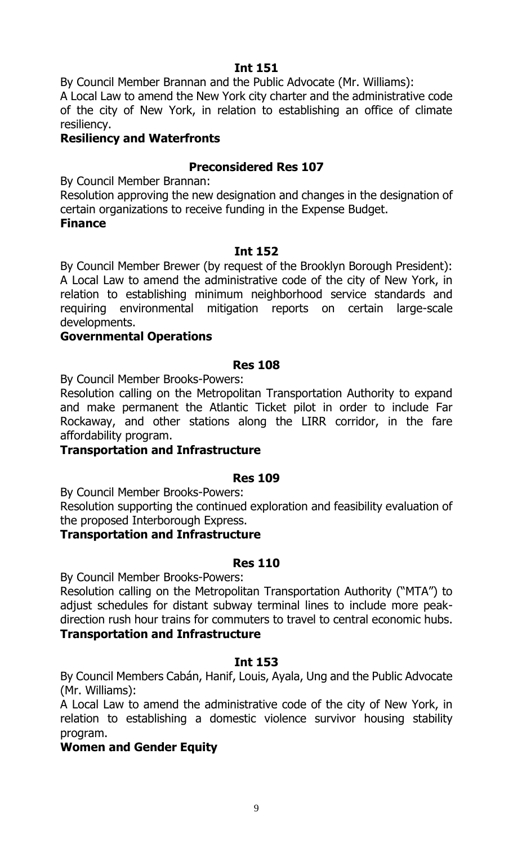By Council Member Brannan and the Public Advocate (Mr. Williams):

A Local Law to amend the New York city charter and the administrative code of the city of New York, in relation to establishing an office of climate resiliency.

# **Resiliency and Waterfronts**

# **Preconsidered Res 107**

By Council Member Brannan:

Resolution approving the new designation and changes in the designation of certain organizations to receive funding in the Expense Budget.

#### **Finance**

## **Int 152**

By Council Member Brewer (by request of the Brooklyn Borough President): A Local Law to amend the administrative code of the city of New York, in relation to establishing minimum neighborhood service standards and requiring environmental mitigation reports on certain large-scale developments.

## **Governmental Operations**

#### **Res 108**

By Council Member Brooks-Powers:

Resolution calling on the Metropolitan Transportation Authority to expand and make permanent the Atlantic Ticket pilot in order to include Far Rockaway, and other stations along the LIRR corridor, in the fare affordability program.

#### **Transportation and Infrastructure**

#### **Res 109**

By Council Member Brooks-Powers:

Resolution supporting the continued exploration and feasibility evaluation of the proposed Interborough Express.

#### **Transportation and Infrastructure**

#### **Res 110**

By Council Member Brooks-Powers:

Resolution calling on the Metropolitan Transportation Authority ("MTA") to adjust schedules for distant subway terminal lines to include more peakdirection rush hour trains for commuters to travel to central economic hubs. **Transportation and Infrastructure**

# **Int 153**

By Council Members Cabán, Hanif, Louis, Ayala, Ung and the Public Advocate (Mr. Williams):

A Local Law to amend the administrative code of the city of New York, in relation to establishing a domestic violence survivor housing stability program.

# **Women and Gender Equity**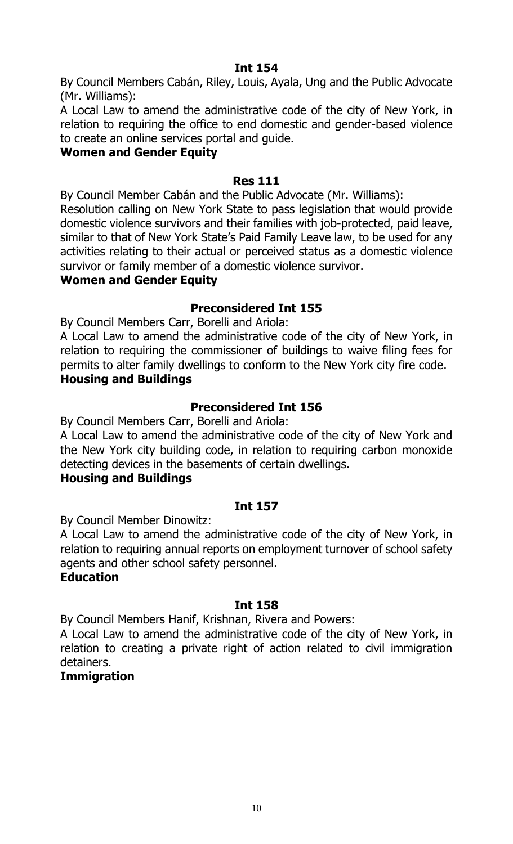By Council Members Cabán, Riley, Louis, Ayala, Ung and the Public Advocate (Mr. Williams):

A Local Law to amend the administrative code of the city of New York, in relation to requiring the office to end domestic and gender-based violence to create an online services portal and guide.

## **Women and Gender Equity**

#### **Res 111**

By Council Member Cabán and the Public Advocate (Mr. Williams):

Resolution calling on New York State to pass legislation that would provide domestic violence survivors and their families with job-protected, paid leave, similar to that of New York State's Paid Family Leave law, to be used for any activities relating to their actual or perceived status as a domestic violence survivor or family member of a domestic violence survivor.

# **Women and Gender Equity**

# **Preconsidered Int 155**

By Council Members Carr, Borelli and Ariola:

A Local Law to amend the administrative code of the city of New York, in relation to requiring the commissioner of buildings to waive filing fees for permits to alter family dwellings to conform to the New York city fire code. **Housing and Buildings**

# **Preconsidered Int 156**

By Council Members Carr, Borelli and Ariola:

A Local Law to amend the administrative code of the city of New York and the New York city building code, in relation to requiring carbon monoxide detecting devices in the basements of certain dwellings.

#### **Housing and Buildings**

# **Int 157**

By Council Member Dinowitz:

A Local Law to amend the administrative code of the city of New York, in relation to requiring annual reports on employment turnover of school safety agents and other school safety personnel.

#### **Education**

# **Int 158**

By Council Members Hanif, Krishnan, Rivera and Powers:

A Local Law to amend the administrative code of the city of New York, in relation to creating a private right of action related to civil immigration detainers.

# **Immigration**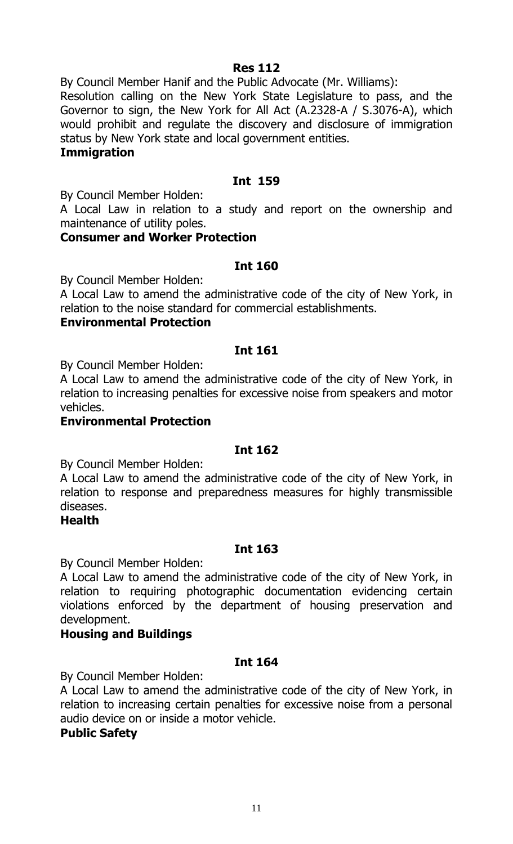#### **Res 112**

By Council Member Hanif and the Public Advocate (Mr. Williams):

Resolution calling on the New York State Legislature to pass, and the Governor to sign, the New York for All Act (A.2328-A / S.3076-A), which would prohibit and regulate the discovery and disclosure of immigration status by New York state and local government entities.

#### **Immigration**

# **Int 159**

By Council Member Holden:

A Local Law in relation to a study and report on the ownership and maintenance of utility poles.

#### **Consumer and Worker Protection**

## **Int 160**

By Council Member Holden:

A Local Law to amend the administrative code of the city of New York, in relation to the noise standard for commercial establishments.

#### **Environmental Protection**

## **Int 161**

By Council Member Holden:

A Local Law to amend the administrative code of the city of New York, in relation to increasing penalties for excessive noise from speakers and motor vehicles.

#### **Environmental Protection**

#### **Int 162**

By Council Member Holden:

A Local Law to amend the administrative code of the city of New York, in relation to response and preparedness measures for highly transmissible diseases.

#### **Health**

# **Int 163**

By Council Member Holden:

A Local Law to amend the administrative code of the city of New York, in relation to requiring photographic documentation evidencing certain violations enforced by the department of housing preservation and development.

# **Housing and Buildings**

# **Int 164**

By Council Member Holden:

A Local Law to amend the administrative code of the city of New York, in relation to increasing certain penalties for excessive noise from a personal audio device on or inside a motor vehicle.

#### **Public Safety**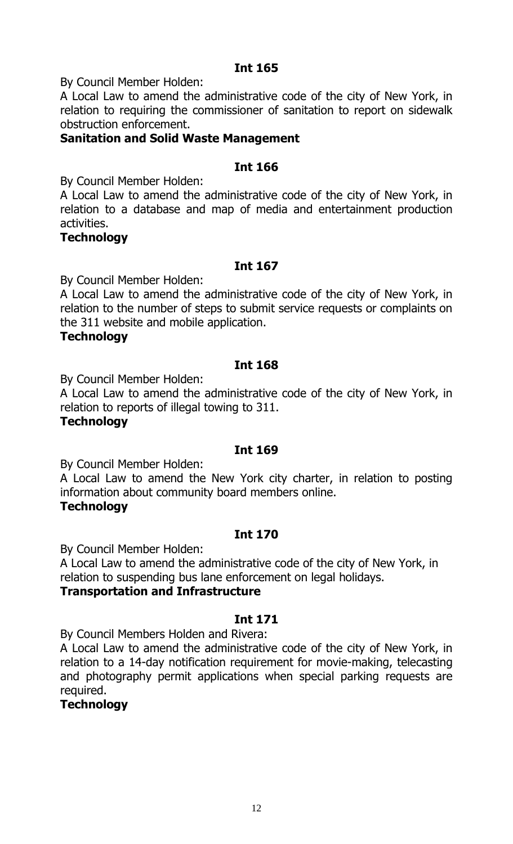By Council Member Holden:

A Local Law to amend the administrative code of the city of New York, in relation to requiring the commissioner of sanitation to report on sidewalk obstruction enforcement.

#### **Sanitation and Solid Waste Management**

#### **Int 166**

By Council Member Holden:

A Local Law to amend the administrative code of the city of New York, in relation to a database and map of media and entertainment production activities.

#### **Technology**

#### **Int 167**

By Council Member Holden:

A Local Law to amend the administrative code of the city of New York, in relation to the number of steps to submit service requests or complaints on the 311 website and mobile application.

#### **Technology**

#### **Int 168**

By Council Member Holden:

A Local Law to amend the administrative code of the city of New York, in relation to reports of illegal towing to 311.

#### **Technology**

#### **Int 169**

By Council Member Holden:

A Local Law to amend the New York city charter, in relation to posting information about community board members online.

#### **Technology**

#### **Int 170**

By Council Member Holden:

A Local Law to amend the administrative code of the city of New York, in relation to suspending bus lane enforcement on legal holidays.

#### **Transportation and Infrastructure**

#### **Int 171**

By Council Members Holden and Rivera:

A Local Law to amend the administrative code of the city of New York, in relation to a 14-day notification requirement for movie-making, telecasting and photography permit applications when special parking requests are required.

#### **Technology**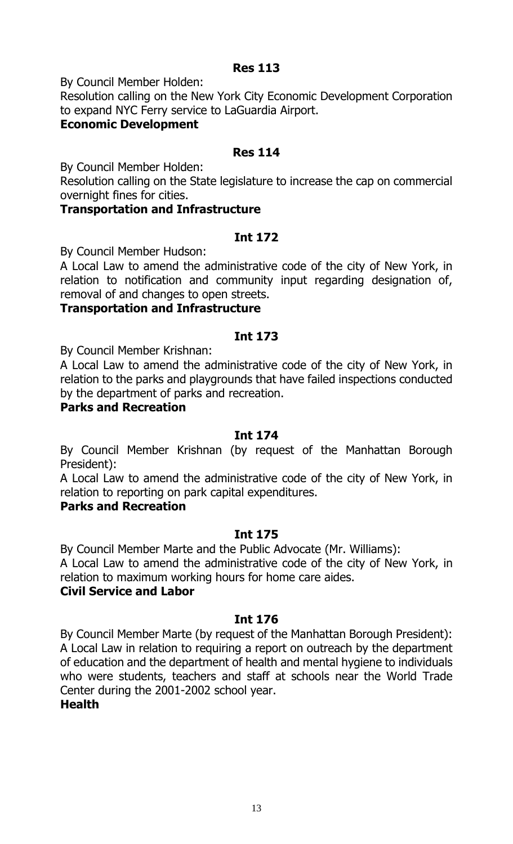#### **Res 113**

By Council Member Holden:

Resolution calling on the New York City Economic Development Corporation to expand NYC Ferry service to LaGuardia Airport.

#### **Economic Development**

#### **Res 114**

By Council Member Holden:

Resolution calling on the State legislature to increase the cap on commercial overnight fines for cities.

#### **Transportation and Infrastructure**

#### **Int 172**

By Council Member Hudson:

A Local Law to amend the administrative code of the city of New York, in relation to notification and community input regarding designation of, removal of and changes to open streets.

#### **Transportation and Infrastructure**

#### **Int 173**

By Council Member Krishnan:

A Local Law to amend the administrative code of the city of New York, in relation to the parks and playgrounds that have failed inspections conducted by the department of parks and recreation.

### **Parks and Recreation**

#### **Int 174**

By Council Member Krishnan (by request of the Manhattan Borough President):

A Local Law to amend the administrative code of the city of New York, in relation to reporting on park capital expenditures.

#### **Parks and Recreation**

#### **Int 175**

By Council Member Marte and the Public Advocate (Mr. Williams):

A Local Law to amend the administrative code of the city of New York, in relation to maximum working hours for home care aides.

#### **Civil Service and Labor**

#### **Int 176**

By Council Member Marte (by request of the Manhattan Borough President): A Local Law in relation to requiring a report on outreach by the department of education and the department of health and mental hygiene to individuals who were students, teachers and staff at schools near the World Trade Center during the 2001-2002 school year.

#### **Health**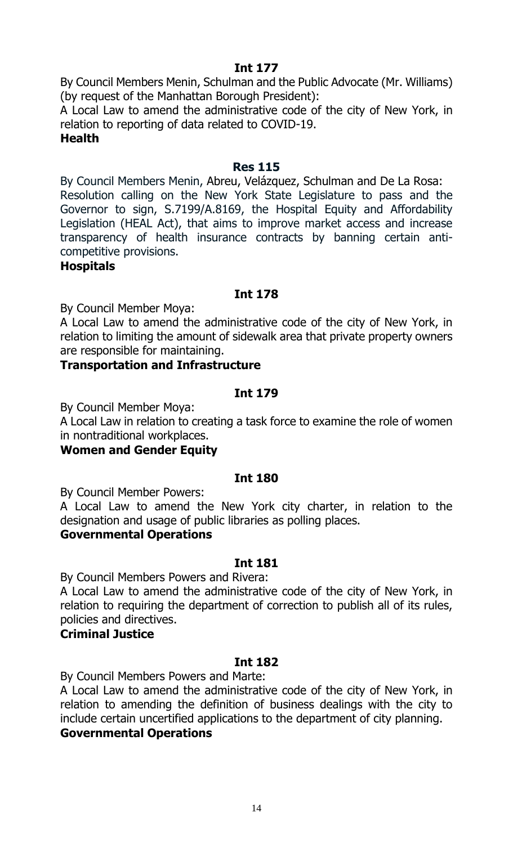By Council Members Menin, Schulman and the Public Advocate (Mr. Williams) (by request of the Manhattan Borough President):

A Local Law to amend the administrative code of the city of New York, in relation to reporting of data related to COVID-19.

#### **Health**

#### **Res 115**

By Council Members Menin, Abreu, Velázquez, Schulman and De La Rosa: Resolution calling on the New York State Legislature to pass and the Governor to sign, S.7199/A.8169, the Hospital Equity and Affordability Legislation (HEAL Act), that aims to improve market access and increase transparency of health insurance contracts by banning certain anticompetitive provisions.

**Hospitals**

#### **Int 178**

By Council Member Moya:

A Local Law to amend the administrative code of the city of New York, in relation to limiting the amount of sidewalk area that private property owners are responsible for maintaining.

#### **Transportation and Infrastructure**

#### **Int 179**

By Council Member Moya:

A Local Law in relation to creating a task force to examine the role of women in nontraditional workplaces.

#### **Women and Gender Equity**

#### **Int 180**

By Council Member Powers:

A Local Law to amend the New York city charter, in relation to the designation and usage of public libraries as polling places.

#### **Governmental Operations**

#### **Int 181**

By Council Members Powers and Rivera:

A Local Law to amend the administrative code of the city of New York, in relation to requiring the department of correction to publish all of its rules, policies and directives.

# **Criminal Justice**

#### **Int 182**

By Council Members Powers and Marte:

A Local Law to amend the administrative code of the city of New York, in relation to amending the definition of business dealings with the city to include certain uncertified applications to the department of city planning.

#### **Governmental Operations**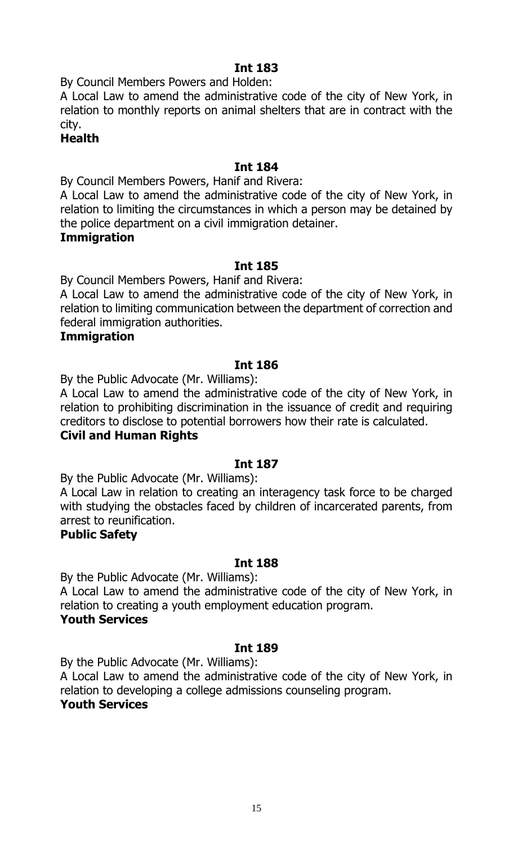By Council Members Powers and Holden:

A Local Law to amend the administrative code of the city of New York, in relation to monthly reports on animal shelters that are in contract with the city.

#### **Health**

## **Int 184**

By Council Members Powers, Hanif and Rivera:

A Local Law to amend the administrative code of the city of New York, in relation to limiting the circumstances in which a person may be detained by the police department on a civil immigration detainer.

#### **Immigration**

## **Int 185**

By Council Members Powers, Hanif and Rivera:

A Local Law to amend the administrative code of the city of New York, in relation to limiting communication between the department of correction and federal immigration authorities.

#### **Immigration**

#### **Int 186**

By the Public Advocate (Mr. Williams):

A Local Law to amend the administrative code of the city of New York, in relation to prohibiting discrimination in the issuance of credit and requiring creditors to disclose to potential borrowers how their rate is calculated.

#### **Civil and Human Rights**

#### **Int 187**

By the Public Advocate (Mr. Williams):

A Local Law in relation to creating an interagency task force to be charged with studying the obstacles faced by children of incarcerated parents, from arrest to reunification.

#### **Public Safety**

#### **Int 188**

By the Public Advocate (Mr. Williams):

A Local Law to amend the administrative code of the city of New York, in relation to creating a youth employment education program.

#### **Youth Services**

#### **Int 189**

By the Public Advocate (Mr. Williams):

A Local Law to amend the administrative code of the city of New York, in relation to developing a college admissions counseling program. **Youth Services**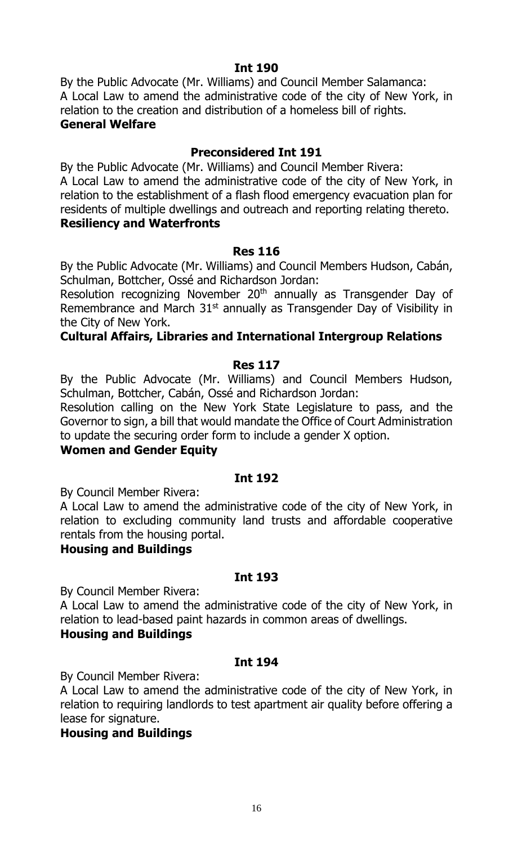By the Public Advocate (Mr. Williams) and Council Member Salamanca: A Local Law to amend the administrative code of the city of New York, in relation to the creation and distribution of a homeless bill of rights. **General Welfare**

# **Preconsidered Int 191**

By the Public Advocate (Mr. Williams) and Council Member Rivera: A Local Law to amend the administrative code of the city of New York, in relation to the establishment of a flash flood emergency evacuation plan for residents of multiple dwellings and outreach and reporting relating thereto. **Resiliency and Waterfronts**

#### **Res 116**

By the Public Advocate (Mr. Williams) and Council Members Hudson, Cabán, Schulman, Bottcher, Ossé and Richardson Jordan:

Resolution recognizing November 20<sup>th</sup> annually as Transgender Day of Remembrance and March  $31<sup>st</sup>$  annually as Transgender Day of Visibility in the City of New York.

## **Cultural Affairs, Libraries and International Intergroup Relations**

#### **Res 117**

By the Public Advocate (Mr. Williams) and Council Members Hudson, Schulman, Bottcher, Cabán, Ossé and Richardson Jordan:

Resolution calling on the New York State Legislature to pass, and the Governor to sign, a bill that would mandate the Office of Court Administration to update the securing order form to include a gender X option.

#### **Women and Gender Equity**

#### **Int 192**

By Council Member Rivera:

A Local Law to amend the administrative code of the city of New York, in relation to excluding community land trusts and affordable cooperative rentals from the housing portal.

#### **Housing and Buildings**

#### **Int 193**

By Council Member Rivera:

A Local Law to amend the administrative code of the city of New York, in relation to lead-based paint hazards in common areas of dwellings. **Housing and Buildings**

#### **Int 194**

By Council Member Rivera:

A Local Law to amend the administrative code of the city of New York, in relation to requiring landlords to test apartment air quality before offering a lease for signature.

#### **Housing and Buildings**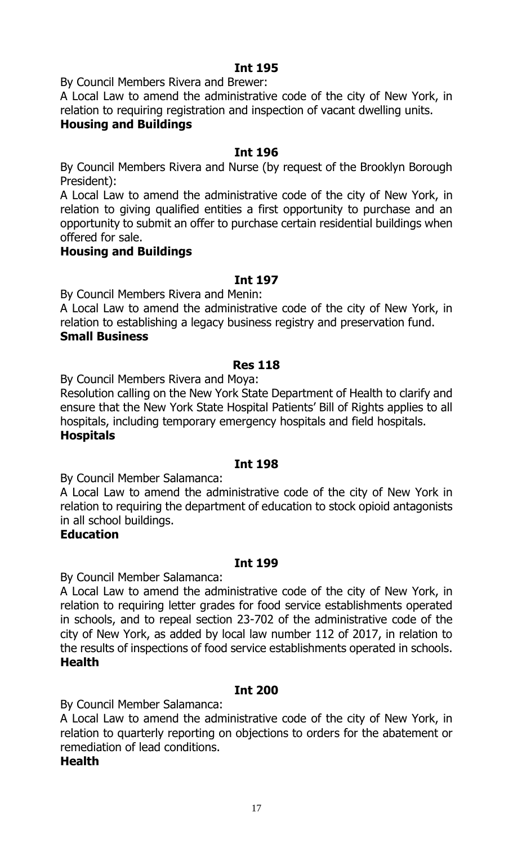By Council Members Rivera and Brewer:

A Local Law to amend the administrative code of the city of New York, in relation to requiring registration and inspection of vacant dwelling units.

# **Housing and Buildings**

#### **Int 196**

By Council Members Rivera and Nurse (by request of the Brooklyn Borough President):

A Local Law to amend the administrative code of the city of New York, in relation to giving qualified entities a first opportunity to purchase and an opportunity to submit an offer to purchase certain residential buildings when offered for sale.

#### **Housing and Buildings**

#### **Int 197**

By Council Members Rivera and Menin:

A Local Law to amend the administrative code of the city of New York, in relation to establishing a legacy business registry and preservation fund. **Small Business**

#### **Res 118**

By Council Members Rivera and Moya:

Resolution calling on the New York State Department of Health to clarify and ensure that the New York State Hospital Patients' Bill of Rights applies to all hospitals, including temporary emergency hospitals and field hospitals. **Hospitals**

#### **Int 198**

By Council Member Salamanca:

A Local Law to amend the administrative code of the city of New York in relation to requiring the department of education to stock opioid antagonists in all school buildings.

#### **Education**

#### **Int 199**

By Council Member Salamanca:

A Local Law to amend the administrative code of the city of New York, in relation to requiring letter grades for food service establishments operated in schools, and to repeal section 23-702 of the administrative code of the city of New York, as added by local law number 112 of 2017, in relation to the results of inspections of food service establishments operated in schools. **Health**

#### **Int 200**

By Council Member Salamanca:

A Local Law to amend the administrative code of the city of New York, in relation to quarterly reporting on objections to orders for the abatement or remediation of lead conditions.

#### **Health**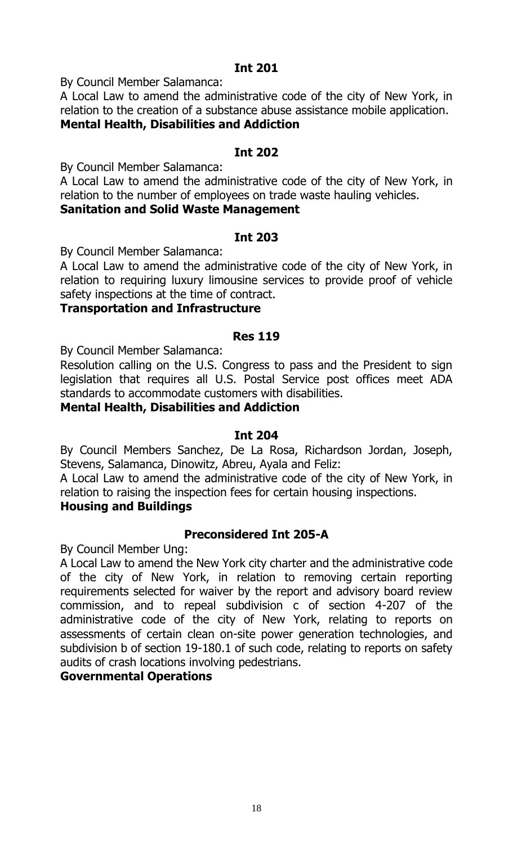By Council Member Salamanca:

A Local Law to amend the administrative code of the city of New York, in relation to the creation of a substance abuse assistance mobile application. **Mental Health, Disabilities and Addiction**

#### **Int 202**

By Council Member Salamanca:

A Local Law to amend the administrative code of the city of New York, in relation to the number of employees on trade waste hauling vehicles.

# **Sanitation and Solid Waste Management**

#### **Int 203**

By Council Member Salamanca:

A Local Law to amend the administrative code of the city of New York, in relation to requiring luxury limousine services to provide proof of vehicle safety inspections at the time of contract.

#### **Transportation and Infrastructure**

#### **Res 119**

By Council Member Salamanca:

Resolution calling on the U.S. Congress to pass and the President to sign legislation that requires all U.S. Postal Service post offices meet ADA standards to accommodate customers with disabilities.

#### **Mental Health, Disabilities and Addiction**

#### **Int 204**

By Council Members Sanchez, De La Rosa, Richardson Jordan, Joseph, Stevens, Salamanca, Dinowitz, Abreu, Ayala and Feliz:

A Local Law to amend the administrative code of the city of New York, in relation to raising the inspection fees for certain housing inspections.

#### **Housing and Buildings**

#### **Preconsidered Int 205-A**

By Council Member Ung:

A Local Law to amend the New York city charter and the administrative code of the city of New York, in relation to removing certain reporting requirements selected for waiver by the report and advisory board review commission, and to repeal subdivision c of section 4-207 of the administrative code of the city of New York, relating to reports on assessments of certain clean on-site power generation technologies, and subdivision b of section 19-180.1 of such code, relating to reports on safety audits of crash locations involving pedestrians.

#### **Governmental Operations**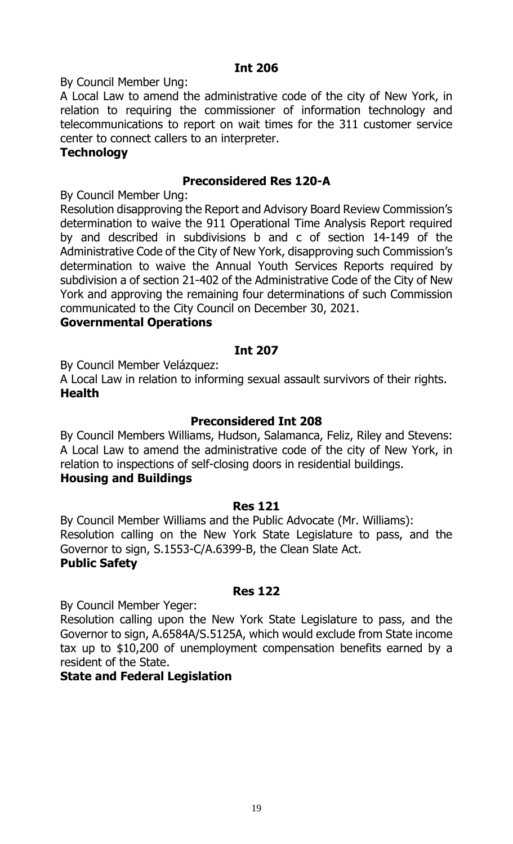By Council Member Ung:

A Local Law to amend the administrative code of the city of New York, in relation to requiring the commissioner of information technology and telecommunications to report on wait times for the 311 customer service center to connect callers to an interpreter.

#### **Technology**

## **Preconsidered Res 120-A**

By Council Member Ung:

Resolution disapproving the Report and Advisory Board Review Commission's determination to waive the 911 Operational Time Analysis Report required by and described in subdivisions b and c of section 14-149 of the Administrative Code of the City of New York, disapproving such Commission's determination to waive the Annual Youth Services Reports required by subdivision a of section 21-402 of the Administrative Code of the City of New York and approving the remaining four determinations of such Commission communicated to the City Council on December 30, 2021.

#### **Governmental Operations**

#### **Int 207**

By Council Member Velázquez:

A Local Law in relation to informing sexual assault survivors of their rights. **Health**

#### **Preconsidered Int 208**

By Council Members Williams, Hudson, Salamanca, Feliz, Riley and Stevens: A Local Law to amend the administrative code of the city of New York, in relation to inspections of self-closing doors in residential buildings. **Housing and Buildings**

#### **Res 121**

By Council Member Williams and the Public Advocate (Mr. Williams): Resolution calling on the New York State Legislature to pass, and the Governor to sign, S.1553-C/A.6399-B, the Clean Slate Act. **Public Safety**

#### **Res 122**

By Council Member Yeger:

Resolution calling upon the New York State Legislature to pass, and the Governor to sign, A.6584A/S.5125A, which would exclude from State income tax up to \$10,200 of unemployment compensation benefits earned by a resident of the State.

# **State and Federal Legislation**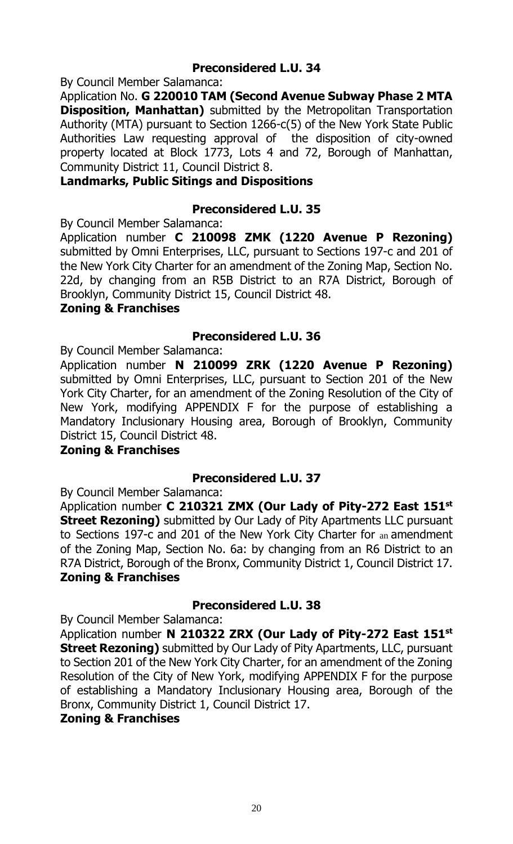# **Preconsidered L.U. 34**

By Council Member Salamanca:

Application No. **G 220010 TAM (Second Avenue Subway Phase 2 MTA Disposition, Manhattan)** submitted by the Metropolitan Transportation Authority (MTA) pursuant to Section 1266-c(5) of the New York State Public Authorities Law requesting approval of the disposition of city-owned property located at Block 1773, Lots 4 and 72, Borough of Manhattan, Community District 11, Council District 8.

#### **Landmarks, Public Sitings and Dispositions**

#### **Preconsidered L.U. 35**

By Council Member Salamanca:

Application number **C 210098 ZMK (1220 Avenue P Rezoning)** submitted by Omni Enterprises, LLC, pursuant to Sections 197-c and 201 of the New York City Charter for an amendment of the Zoning Map, Section No. 22d, by changing from an R5B District to an R7A District, Borough of Brooklyn, Community District 15, Council District 48.

#### **Zoning & Franchises**

## **Preconsidered L.U. 36**

By Council Member Salamanca:

Application number **N 210099 ZRK (1220 Avenue P Rezoning)** submitted by Omni Enterprises, LLC, pursuant to Section 201 of the New York City Charter, for an amendment of the Zoning Resolution of the City of New York, modifying APPENDIX F for the purpose of establishing a Mandatory Inclusionary Housing area, Borough of Brooklyn, Community District 15, Council District 48.

### **Zoning & Franchises**

# **Preconsidered L.U. 37**

By Council Member Salamanca:

Application number **C 210321 ZMX (Our Lady of Pity-272 East 151st Street Rezoning)** submitted by Our Lady of Pity Apartments LLC pursuant to Sections 197-c and 201 of the New York City Charter for an amendment of the Zoning Map, Section No. 6a: by changing from an R6 District to an R7A District, Borough of the Bronx, Community District 1, Council District 17. **Zoning & Franchises**

#### **Preconsidered L.U. 38**

By Council Member Salamanca:

Application number **N 210322 ZRX (Our Lady of Pity-272 East 151st Street Rezoning)** submitted by Our Lady of Pity Apartments, LLC, pursuant to Section 201 of the New York City Charter, for an amendment of the Zoning Resolution of the City of New York, modifying APPENDIX F for the purpose of establishing a Mandatory Inclusionary Housing area, Borough of the Bronx, Community District 1, Council District 17.

#### **Zoning & Franchises**